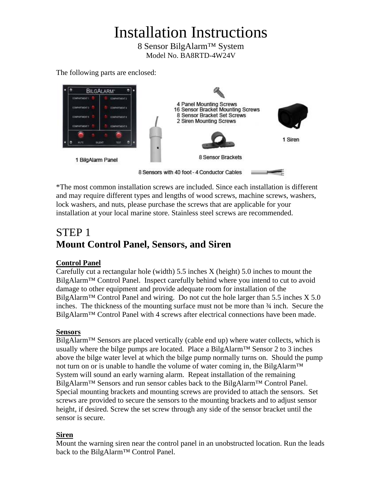# Installation Instructions

8 Sensor BilgAlarm™ System Model No. BA8RTD-4W24V

The following parts are enclosed:



\*The most common installation screws are included. Since each installation is different and may require different types and lengths of wood screws, machine screws, washers, lock washers, and nuts, please purchase the screws that are applicable for your installation at your local marine store. Stainless steel screws are recommended.

# STEP 1 **Mount Control Panel, Sensors, and Siren**

#### **Control Panel**

Carefully cut a rectangular hole (width) 5.5 inches X (height) 5.0 inches to mount the BilgAlarm<sup>™</sup> Control Panel. Inspect carefully behind where you intend to cut to avoid damage to other equipment and provide adequate room for installation of the BilgAlarm<sup>™</sup> Control Panel and wiring. Do not cut the hole larger than 5.5 inches  $X$  5.0 inches. The thickness of the mounting surface must not be more than  $\frac{3}{4}$  inch. Secure the BilgAlarm™ Control Panel with 4 screws after electrical connections have been made.

#### **Sensors**

 $Bilg$ Alarm<sup>™</sup> Sensors are placed vertically (cable end up) where water collects, which is usually where the bilge pumps are located. Place a BilgAlarm™ Sensor 2 to 3 inches above the bilge water level at which the bilge pump normally turns on. Should the pump not turn on or is unable to handle the volume of water coming in, the BilgAlarm™ System will sound an early warning alarm. Repeat installation of the remaining BilgAlarm™ Sensors and run sensor cables back to the BilgAlarm™ Control Panel. Special mounting brackets and mounting screws are provided to attach the sensors. Set screws are provided to secure the sensors to the mounting brackets and to adjust sensor height, if desired. Screw the set screw through any side of the sensor bracket until the sensor is secure.

#### **Siren**

Mount the warning siren near the control panel in an unobstructed location. Run the leads back to the BilgAlarm<sup>™</sup> Control Panel.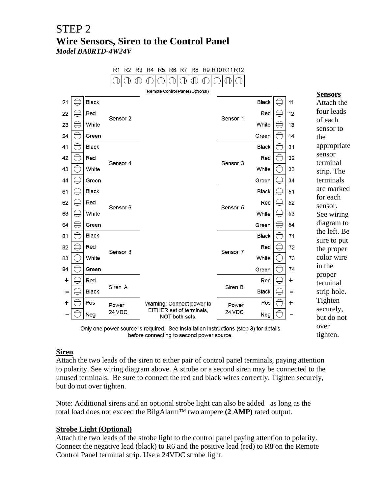### STEP 2 **Wire Sensors, Siren to the Control Panel**  *Model BA8RTD-4W24V*

|                                                                                       |   |              | R1<br>R2 R3<br>R <sub>5</sub><br>R6<br>R7<br>R <sub>8</sub><br>R9 R10 R11 R12<br>R4 |                                            |             |              |                         |           |                           |
|---------------------------------------------------------------------------------------|---|--------------|-------------------------------------------------------------------------------------|--------------------------------------------|-------------|--------------|-------------------------|-----------|---------------------------|
|                                                                                       |   |              | Œ<br>⊕                                                                              | ⋔<br>O<br>◑<br>O<br>O<br>Œ                 | ⋔<br>O<br>Œ |              |                         |           |                           |
|                                                                                       |   |              |                                                                                     | Remote Control Panel (Optional)            |             |              |                         |           | <b>Sensors</b>            |
| 21                                                                                    |   | <b>Black</b> |                                                                                     |                                            |             | Black        |                         | 11        | Attach the                |
| 22                                                                                    |   | Red          |                                                                                     |                                            |             | Red          |                         | 12        | four leads                |
| 23                                                                                    |   | White        | Sensor 2                                                                            |                                            | Sensor 1    | White        |                         | 13        | of each                   |
| 24                                                                                    | ∈ | Green        |                                                                                     |                                            |             | Green        | €                       | 14        | sensor to<br>the          |
| 41                                                                                    |   | <b>Black</b> |                                                                                     |                                            |             | Black        | €                       | 31        | appropriate               |
| 42                                                                                    | € | Red          |                                                                                     |                                            |             | Red          | ⊜                       | 32        | sensor                    |
| 43                                                                                    |   | White        | Sensor 4                                                                            |                                            | Sensor 3    | White        | $\ominus$               | 33        | terminal                  |
|                                                                                       |   |              |                                                                                     |                                            |             |              |                         |           | strip. The                |
| 44                                                                                    |   | Green        |                                                                                     |                                            |             | Green        | $\ominus$               | 34        | terminals<br>are marked   |
| 61                                                                                    |   | <b>Black</b> |                                                                                     |                                            |             | <b>Black</b> | $\ominus$               | 51        | for each                  |
| 62                                                                                    |   | Red          | Sensor 6                                                                            |                                            | Sensor 5    | Red          | €                       | 52        | sensor.                   |
| 63                                                                                    |   | White        |                                                                                     |                                            |             | White        | $\ominus$               | 53        | See wiring                |
| 64                                                                                    |   | Green        |                                                                                     |                                            |             | Green        | $\ominus$               | 54        | diagram to                |
| 81                                                                                    | E | <b>Black</b> |                                                                                     |                                            |             | Black        | ⊜                       | 71        | the left. Be              |
| 82                                                                                    |   | Red          | Sensor 8                                                                            |                                            | Sensor 7    | Red          | ⊜                       | 72        | sure to put<br>the proper |
| 83                                                                                    | € | White        |                                                                                     |                                            |             | White        | $\ominus$               | 73        | color wire                |
| 84                                                                                    |   | Green        |                                                                                     |                                            |             | Green        | $\ominus$               | 74        | in the                    |
|                                                                                       | ∈ |              |                                                                                     |                                            |             |              | $\widehat{\phantom{a}}$ |           | proper                    |
| $\ddot{}$                                                                             |   | Red          | Siren A                                                                             |                                            | Siren B     | Red          |                         | $\ddot{}$ | terminal                  |
|                                                                                       |   | <b>Black</b> |                                                                                     |                                            |             | <b>Black</b> | ⊜                       |           | strip hole.               |
| +                                                                                     |   | Pos          | Power                                                                               | Warning: Connect power to                  | Power       | Pos          |                         | $\ddot{}$ | Tighten                   |
|                                                                                       |   | Neg          | 24 VDC                                                                              | EITHER set of terminals,<br>NOT both sets. | 24 VDC      | Neg          |                         |           | securely,<br>but do not   |
| Only and nower source is required. See installation instructions (step 3) for details |   |              |                                                                                     |                                            |             |              |                         |           | over                      |

Only one power source is required. See installation instructions (step 3) for details before connecting to second power source.

#### **Siren**

Attach the two leads of the siren to either pair of control panel terminals, paying attention to polarity. See wiring diagram above. A strobe or a second siren may be connected to the unused terminals. Be sure to connect the red and black wires correctly. Tighten securely, but do not over tighten.

tighten.

Note: Additional sirens and an optional strobe light can also be added as long as the total load does not exceed the BilgAlarm™ two ampere **(2 AMP)** rated output.

#### **Strobe Light (Optional)**

Attach the two leads of the strobe light to the control panel paying attention to polarity. Connect the negative lead (black) to R6 and the positive lead (red) to R8 on the Remote Control Panel terminal strip. Use a 24VDC strobe light.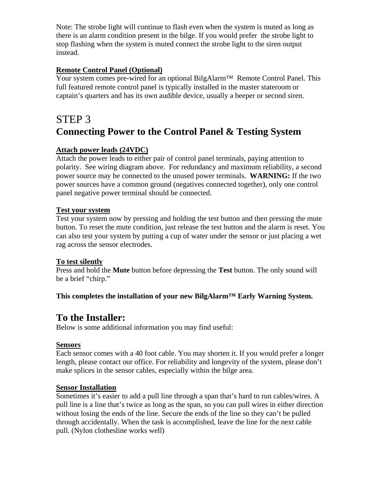Note: The strobe light will continue to flash even when the system is muted as long as there is an alarm condition present in the bilge. If you would prefer the strobe light to stop flashing when the system is muted connect the strobe light to the siren output instead.

#### **Remote Control Panel (Optional)**

Your system comes pre-wired for an optional BilgAlarm™ Remote Control Panel. This full featured remote control panel is typically installed in the master stateroom or captain's quarters and has its own audible device, usually a beeper or second siren.

## STEP 3 **Connecting Power to the Control Panel & Testing System**

#### **Attach power leads (24VDC)**

Attach the power leads to either pair of control panel terminals, paying attention to polarity. See wiring diagram above. For redundancy and maximum reliability, a second power source may be connected to the unused power terminals. **WARNING:** If the two power sources have a common ground (negatives connected together), only one control panel negative power terminal should be connected.

#### **Test your system**

Test your system now by pressing and holding the test button and then pressing the mute button. To reset the mute condition, just release the test button and the alarm is reset. You can also test your system by putting a cup of water under the sensor or just placing a wet rag across the sensor electrodes.

#### **To test silently**

Press and hold the **Mute** button before depressing the **Test** button. The only sound will be a brief "chirp."

#### **This completes the installation of your new BilgAlarm™ Early Warning System.**

### **To the Installer:**

Below is some additional information you may find useful:

#### **Sensors**

Each sensor comes with a 40 foot cable. You may shorten it. If you would prefer a longer length, please contact our office. For reliability and longevity of the system, please don't make splices in the sensor cables, especially within the bilge area.

#### **Sensor Installation**

Sometimes it's easier to add a pull line through a span that's hard to run cables/wires. A pull line is a line that's twice as long as the span, so you can pull wires in either direction without losing the ends of the line. Secure the ends of the line so they can't be pulled through accidentally. When the task is accomplished, leave the line for the next cable pull. (Nylon clothesline works well)